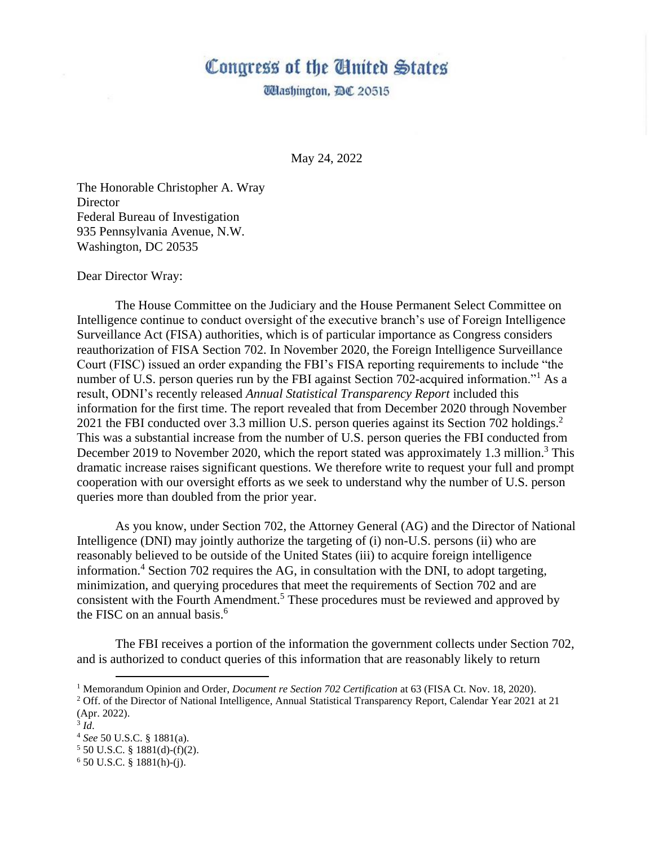## Congress of the Anited States

*Udashington, DC 20515* 

May 24, 2022

The Honorable Christopher A. Wray **Director** Federal Bureau of Investigation 935 Pennsylvania Avenue, N.W. Washington, DC 20535

## Dear Director Wray:

The House Committee on the Judiciary and the House Permanent Select Committee on Intelligence continue to conduct oversight of the executive branch's use of Foreign Intelligence Surveillance Act (FISA) authorities, which is of particular importance as Congress considers reauthorization of FISA Section 702. In November 2020, the Foreign Intelligence Surveillance Court (FISC) issued an order expanding the FBI's FISA reporting requirements to include "the number of U.S. person queries run by the FBI against Section 702-acquired information."<sup>1</sup> As a result, ODNI's recently released *Annual Statistical Transparency Report* included this information for the first time. The report revealed that from December 2020 through November 2021 the FBI conducted over 3.3 million U.S. person queries against its Section 702 holdings.<sup>2</sup> This was a substantial increase from the number of U.S. person queries the FBI conducted from December 2019 to November 2020, which the report stated was approximately 1.3 million.<sup>3</sup> This dramatic increase raises significant questions. We therefore write to request your full and prompt cooperation with our oversight efforts as we seek to understand why the number of U.S. person queries more than doubled from the prior year.

As you know, under Section 702, the Attorney General (AG) and the Director of National Intelligence (DNI) may jointly authorize the targeting of (i) non-U.S. persons (ii) who are reasonably believed to be outside of the United States (iii) to acquire foreign intelligence information.<sup>4</sup> Section 702 requires the AG, in consultation with the DNI, to adopt targeting, minimization, and querying procedures that meet the requirements of Section 702 and are consistent with the Fourth Amendment.<sup>5</sup> These procedures must be reviewed and approved by the FISC on an annual basis. $6 \overline{6}$ 

The FBI receives a portion of the information the government collects under Section 702, and is authorized to conduct queries of this information that are reasonably likely to return

<sup>1</sup> Memorandum Opinion and Order, *Document re Section 702 Certification* at 63 (FISA Ct. Nov. 18, 2020).

<sup>&</sup>lt;sup>2</sup> Off. of the Director of National Intelligence, Annual Statistical Transparency Report, Calendar Year 2021 at 21 (Apr. 2022).

<sup>3</sup> *Id*.

<sup>4</sup> *See* 50 U.S.C. § 1881(a).

 $5$  50 U.S.C. § 1881(d)-(f)(2).

 $6$  50 U.S.C. § 1881(h)-(j).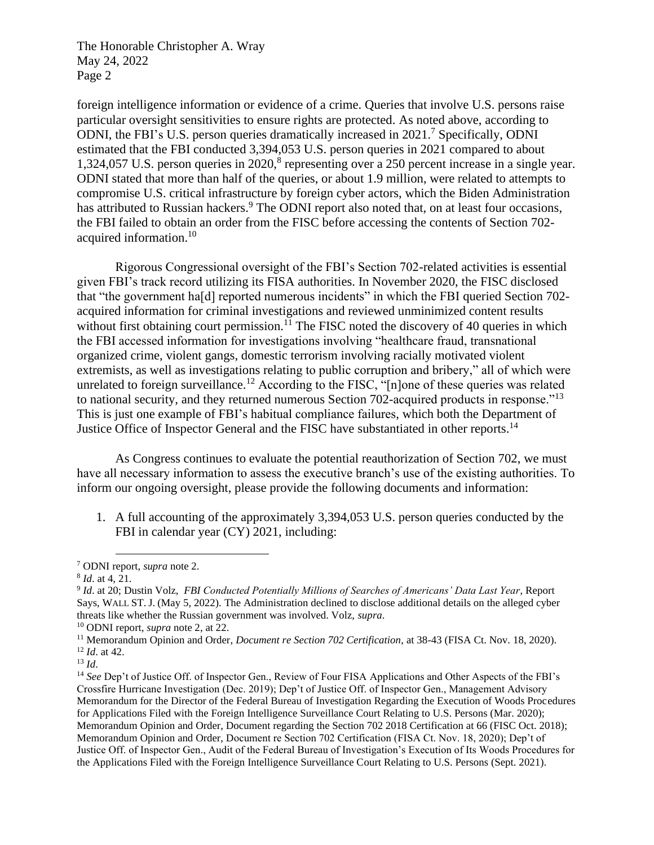The Honorable Christopher A. Wray May 24, 2022 Page 2

foreign intelligence information or evidence of a crime. Queries that involve U.S. persons raise particular oversight sensitivities to ensure rights are protected. As noted above, according to ODNI, the FBI's U.S. person queries dramatically increased in 2021.<sup>7</sup> Specifically, ODNI estimated that the FBI conducted 3,394,053 U.S. person queries in 2021 compared to about 1,324,057 U.S. person queries in 2020,<sup>8</sup> representing over a 250 percent increase in a single year. ODNI stated that more than half of the queries, or about 1.9 million, were related to attempts to compromise U.S. critical infrastructure by foreign cyber actors, which the Biden Administration has attributed to Russian hackers.<sup>9</sup> The ODNI report also noted that, on at least four occasions, the FBI failed to obtain an order from the FISC before accessing the contents of Section 702 acquired information. 10

Rigorous Congressional oversight of the FBI's Section 702-related activities is essential given FBI's track record utilizing its FISA authorities. In November 2020, the FISC disclosed that "the government ha[d] reported numerous incidents" in which the FBI queried Section 702 acquired information for criminal investigations and reviewed unminimized content results without first obtaining court permission.<sup>11</sup> The FISC noted the discovery of 40 queries in which the FBI accessed information for investigations involving "healthcare fraud, transnational organized crime, violent gangs, domestic terrorism involving racially motivated violent extremists, as well as investigations relating to public corruption and bribery," all of which were unrelated to foreign surveillance.<sup>12</sup> According to the FISC, " $[n]$  one of these queries was related to national security, and they returned numerous Section 702-acquired products in response."<sup>13</sup> This is just one example of FBI's habitual compliance failures, which both the Department of Justice Office of Inspector General and the FISC have substantiated in other reports.<sup>14</sup>

As Congress continues to evaluate the potential reauthorization of Section 702, we must have all necessary information to assess the executive branch's use of the existing authorities. To inform our ongoing oversight, please provide the following documents and information:

1. A full accounting of the approximately 3,394,053 U.S. person queries conducted by the FBI in calendar year (CY) 2021, including:

<sup>7</sup> ODNI report, *supra* note 2.

<sup>8</sup> *Id*. at 4, 21.

<sup>9</sup> *Id*. at 20; Dustin Volz, *FBI Conducted Potentially Millions of Searches of Americans' Data Last Year*, Report Says, WALL ST. J. (May 5, 2022). The Administration declined to disclose additional details on the alleged cyber threats like whether the Russian government was involved. Volz, *supra*.

<sup>10</sup> ODNI report, *supra* note 2, at 22.

<sup>11</sup> Memorandum Opinion and Order, *Document re Section 702 Certification*, at 38-43 (FISA Ct. Nov. 18, 2020). <sup>12</sup> *Id*. at 42.

<sup>13</sup> *Id*.

<sup>&</sup>lt;sup>14</sup> See Dep't of Justice Off. of Inspector Gen., Review of Four FISA Applications and Other Aspects of the FBI's Crossfire Hurricane Investigation (Dec. 2019); Dep't of Justice Off. of Inspector Gen., Management Advisory Memorandum for the Director of the Federal Bureau of Investigation Regarding the Execution of Woods Procedures for Applications Filed with the Foreign Intelligence Surveillance Court Relating to U.S. Persons (Mar. 2020); Memorandum Opinion and Order, Document regarding the Section 702 2018 Certification at 66 (FISC Oct. 2018); Memorandum Opinion and Order, Document re Section 702 Certification (FISA Ct. Nov. 18, 2020); Dep't of Justice Off. of Inspector Gen., Audit of the Federal Bureau of Investigation's Execution of Its Woods Procedures for the Applications Filed with the Foreign Intelligence Surveillance Court Relating to U.S. Persons (Sept. 2021).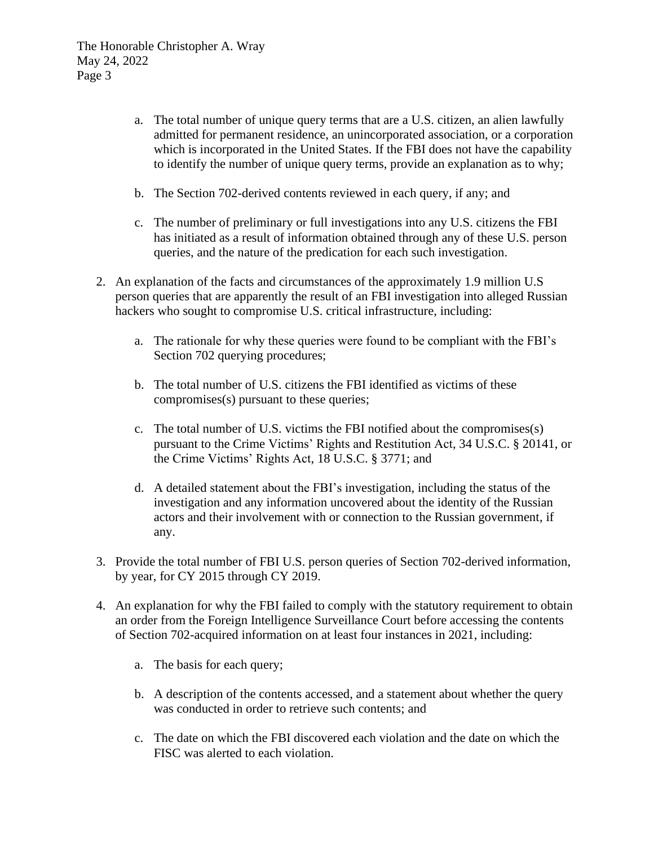- a. The total number of unique query terms that are a U.S. citizen, an alien lawfully admitted for permanent residence, an unincorporated association, or a corporation which is incorporated in the United States. If the FBI does not have the capability to identify the number of unique query terms, provide an explanation as to why;
- b. The Section 702-derived contents reviewed in each query, if any; and
- c. The number of preliminary or full investigations into any U.S. citizens the FBI has initiated as a result of information obtained through any of these U.S. person queries, and the nature of the predication for each such investigation.
- 2. An explanation of the facts and circumstances of the approximately 1.9 million U.S person queries that are apparently the result of an FBI investigation into alleged Russian hackers who sought to compromise U.S. critical infrastructure, including:
	- a. The rationale for why these queries were found to be compliant with the FBI's Section 702 querying procedures;
	- b. The total number of U.S. citizens the FBI identified as victims of these compromises(s) pursuant to these queries;
	- c. The total number of U.S. victims the FBI notified about the compromises(s) pursuant to the Crime Victims' Rights and Restitution Act, 34 U.S.C. § 20141, or the Crime Victims' Rights Act, 18 U.S.C. § 3771; and
	- d. A detailed statement about the FBI's investigation, including the status of the investigation and any information uncovered about the identity of the Russian actors and their involvement with or connection to the Russian government, if any.
- 3. Provide the total number of FBI U.S. person queries of Section 702-derived information, by year, for CY 2015 through CY 2019.
- 4. An explanation for why the FBI failed to comply with the statutory requirement to obtain an order from the Foreign Intelligence Surveillance Court before accessing the contents of Section 702-acquired information on at least four instances in 2021, including:
	- a. The basis for each query;
	- b. A description of the contents accessed, and a statement about whether the query was conducted in order to retrieve such contents; and
	- c. The date on which the FBI discovered each violation and the date on which the FISC was alerted to each violation.